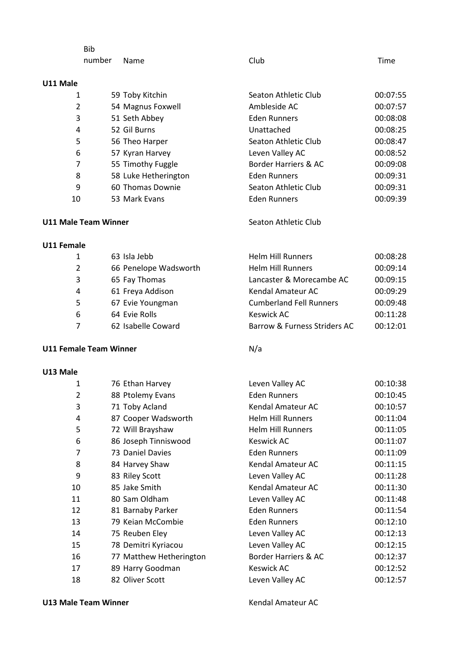Bib number Name Club Time

| U11 Male |                      |                      |          |
|----------|----------------------|----------------------|----------|
| 1        | 59 Toby Kitchin      | Seaton Athletic Club | 00:07:55 |
| 2        | 54 Magnus Foxwell    | Ambleside AC         | 00:07:57 |
| 3        | 51 Seth Abbey        | <b>Eden Runners</b>  | 00:08:08 |
| 4        | 52 Gil Burns         | Unattached           | 00:08:25 |
| 5        | 56 Theo Harper       | Seaton Athletic Club | 00:08:47 |
| 6        | 57 Kyran Harvey      | Leven Valley AC      | 00:08:52 |
| 7        | 55 Timothy Fuggle    | Border Harriers & AC | 00:09:08 |
| 8        | 58 Luke Hetherington | <b>Eden Runners</b>  | 00:09:31 |
| 9        | 60 Thomas Downie     | Seaton Athletic Club | 00:09:31 |
| 10       | 53 Mark Evans        | <b>Eden Runners</b>  | 00:09:39 |

### **U11 Male Team Winner** Seaton Athletic Club

# **U11 Female**

| $\mathbf{1}$   | 63 Isla Jebb          | <b>Helm Hill Runners</b>       | 00:08:28 |
|----------------|-----------------------|--------------------------------|----------|
| $\overline{2}$ | 66 Penelope Wadsworth | <b>Helm Hill Runners</b>       | 00:09:14 |
| 3              | 65 Fay Thomas         | Lancaster & Morecambe AC       | 00:09:15 |
| 4              | 61 Freya Addison      | Kendal Amateur AC              | 00:09:29 |
| -5             | 67 Evie Youngman      | <b>Cumberland Fell Runners</b> | 00:09:48 |
| 6              | 64 Evie Rolls         | Keswick AC                     | 00:11:28 |
| $\overline{7}$ | 62 Isabelle Coward    | Barrow & Furness Striders AC   | 00:12:01 |

# **U11 Female Team Winner** N/a

#### **U13 Male**

| 1              | 76 Ethan Harvey         | Leven Valley AC          | 00:10:38 |
|----------------|-------------------------|--------------------------|----------|
| 2              | 88 Ptolemy Evans        | <b>Eden Runners</b>      | 00:10:45 |
| 3              | 71 Toby Acland          | Kendal Amateur AC        | 00:10:57 |
| $\overline{4}$ | 87 Cooper Wadsworth     | <b>Helm Hill Runners</b> | 00:11:04 |
| 5              | 72 Will Brayshaw        | <b>Helm Hill Runners</b> | 00:11:05 |
| 6              | 86 Joseph Tinniswood    | Keswick AC               | 00:11:07 |
| 7              | 73 Daniel Davies        | <b>Eden Runners</b>      | 00:11:09 |
| 8              | 84 Harvey Shaw          | Kendal Amateur AC        | 00:11:15 |
| 9              | 83 Riley Scott          | Leven Valley AC          | 00:11:28 |
| 10             | 85 Jake Smith           | Kendal Amateur AC        | 00:11:30 |
| 11             | 80 Sam Oldham           | Leven Valley AC          | 00:11:48 |
| 12             | 81 Barnaby Parker       | <b>Eden Runners</b>      | 00:11:54 |
| 13             | 79 Keian McCombie       | <b>Eden Runners</b>      | 00:12:10 |
| 14             | 75 Reuben Eley          | Leven Valley AC          | 00:12:13 |
| 15             | 78 Demitri Kyriacou     | Leven Valley AC          | 00:12:15 |
| 16             | 77 Matthew Hetherington | Border Harriers & AC     | 00:12:37 |
| 17             | 89 Harry Goodman        | Keswick AC               | 00:12:52 |
| 18             | 82 Oliver Scott         | Leven Valley AC          | 00:12:57 |

### **U13 Male Team Winner Kendal Amateur AC**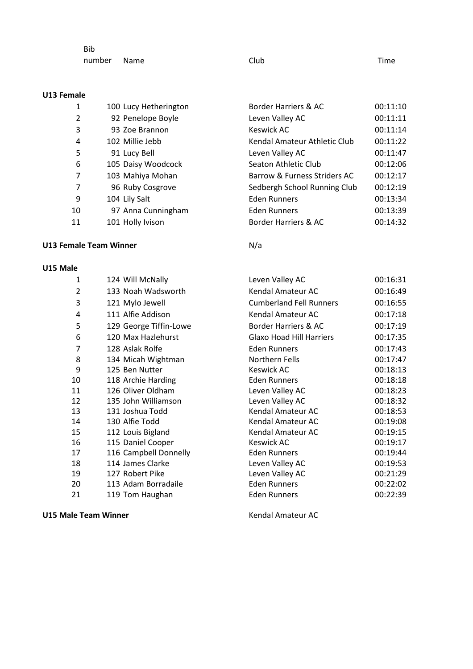Bib number Name Club Club Club Time

## **U13 Female**

| 1              | 100 Lucy Hetherington | Border Harriers & AC         | 00:11:10 |
|----------------|-----------------------|------------------------------|----------|
| $\overline{2}$ | 92 Penelope Boyle     | Leven Valley AC              | 00:11:11 |
| 3              | 93 Zoe Brannon        | Keswick AC                   | 00:11:14 |
| 4              | 102 Millie Jebb       | Kendal Amateur Athletic Club | 00:11:22 |
| 5              | 91 Lucy Bell          | Leven Valley AC              | 00:11:47 |
| 6              | 105 Daisy Woodcock    | Seaton Athletic Club         | 00:12:06 |
| 7              | 103 Mahiya Mohan      | Barrow & Furness Striders AC | 00:12:17 |
| 7              | 96 Ruby Cosgrove      | Sedbergh School Running Club | 00:12:19 |
| 9              | 104 Lily Salt         | <b>Eden Runners</b>          | 00:13:34 |
| 10             | 97 Anna Cunningham    | <b>Eden Runners</b>          | 00:13:39 |
| 11             | 101 Holly Ivison      | Border Harriers & AC         | 00:14:32 |

# **U13 Female Team Winner** N/a

### **U15 Male**

| 1  | 124 Will McNally       | Leven Valley AC                 | 00:16:31 |
|----|------------------------|---------------------------------|----------|
| 2  | 133 Noah Wadsworth     | Kendal Amateur AC               | 00:16:49 |
| 3  | 121 Mylo Jewell        | <b>Cumberland Fell Runners</b>  | 00:16:55 |
| 4  | 111 Alfie Addison      | Kendal Amateur AC               | 00:17:18 |
| 5  | 129 George Tiffin-Lowe | Border Harriers & AC            | 00:17:19 |
| 6  | 120 Max Hazlehurst     | <b>Glaxo Hoad Hill Harriers</b> | 00:17:35 |
| 7  | 128 Aslak Rolfe        | <b>Eden Runners</b>             | 00:17:43 |
| 8  | 134 Micah Wightman     | Northern Fells                  | 00:17:47 |
| 9  | 125 Ben Nutter         | Keswick AC                      | 00:18:13 |
| 10 | 118 Archie Harding     | <b>Eden Runners</b>             | 00:18:18 |
| 11 | 126 Oliver Oldham      | Leven Valley AC                 | 00:18:23 |
| 12 | 135 John Williamson    | Leven Valley AC                 | 00:18:32 |
| 13 | 131 Joshua Todd        | Kendal Amateur AC               | 00:18:53 |
| 14 | 130 Alfie Todd         | Kendal Amateur AC               | 00:19:08 |
| 15 | 112 Louis Bigland      | Kendal Amateur AC               | 00:19:15 |
| 16 | 115 Daniel Cooper      | Keswick AC                      | 00:19:17 |
| 17 | 116 Campbell Donnelly  | <b>Eden Runners</b>             | 00:19:44 |
| 18 | 114 James Clarke       | Leven Valley AC                 | 00:19:53 |
| 19 | 127 Robert Pike        | Leven Valley AC                 | 00:21:29 |
| 20 | 113 Adam Borradaile    | <b>Eden Runners</b>             | 00:22:02 |
| 21 | 119 Tom Haughan        | <b>Eden Runners</b>             | 00:22:39 |
|    |                        |                                 |          |

**U15 Male Team Winner** Kendal Amateur Act Ke

| endal Amateur AC |  |
|------------------|--|
|                  |  |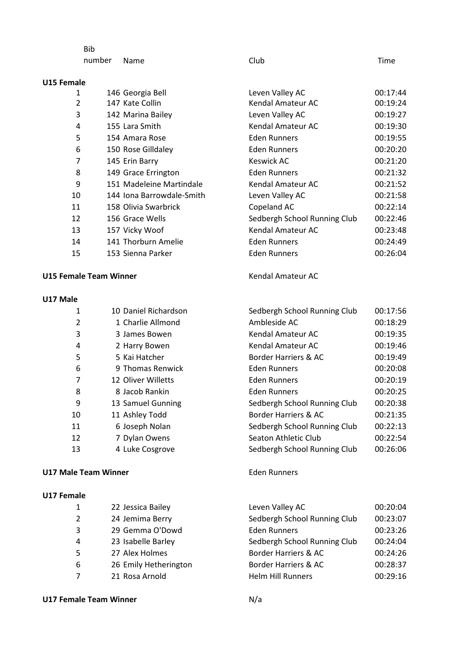Bib number Name Club Time

### **U15 Female**

| 1  | 146 Georgia Bell          | Leven Valley AC              | 00:17:44 |
|----|---------------------------|------------------------------|----------|
| 2  | 147 Kate Collin           | Kendal Amateur AC            | 00:19:24 |
| 3  | 142 Marina Bailey         | Leven Valley AC              | 00:19:27 |
| 4  | 155 Lara Smith            | Kendal Amateur AC            | 00:19:30 |
| 5  | 154 Amara Rose            | Eden Runners                 | 00:19:55 |
| 6  | 150 Rose Gilldaley        | Eden Runners                 | 00:20:20 |
| 7  | 145 Erin Barry            | Keswick AC                   | 00:21:20 |
| 8  | 149 Grace Errington       | <b>Eden Runners</b>          | 00:21:32 |
| 9  | 151 Madeleine Martindale  | Kendal Amateur AC            | 00:21:52 |
| 10 | 144 Iona Barrowdale-Smith | Leven Valley AC              | 00:21:58 |
| 11 | 158 Olivia Swarbrick      | Copeland AC                  | 00:22:14 |
| 12 | 156 Grace Wells           | Sedbergh School Running Club | 00:22:46 |
| 13 | 157 Vicky Woof            | Kendal Amateur AC            | 00:23:48 |
| 14 | 141 Thorburn Amelie       | Eden Runners                 | 00:24:49 |
| 15 | 153 Sienna Parker         | <b>Eden Runners</b>          | 00:26:04 |
|    |                           |                              |          |

# **U15 Female Team Winner** Manuscriptum Rendal Amateur AC

### **U17 Male**

| 1  | 10 Daniel Richardson | Sedbergh School Running Club | 00:17:56 |
|----|----------------------|------------------------------|----------|
| 2  | 1 Charlie Allmond    | Ambleside AC                 | 00:18:29 |
| 3  | 3 James Bowen        | Kendal Amateur AC            | 00:19:35 |
| 4  | 2 Harry Bowen        | Kendal Amateur AC            | 00:19:46 |
| 5  | 5 Kai Hatcher        | Border Harriers & AC         | 00:19:49 |
| 6  | 9 Thomas Renwick     | <b>Eden Runners</b>          | 00:20:08 |
| 7  | 12 Oliver Willetts   | <b>Eden Runners</b>          | 00:20:19 |
| 8  | 8 Jacob Rankin       | <b>Eden Runners</b>          | 00:20:25 |
| 9  | 13 Samuel Gunning    | Sedbergh School Running Club | 00:20:38 |
| 10 | 11 Ashley Todd       | Border Harriers & AC         | 00:21:35 |
| 11 | 6 Joseph Nolan       | Sedbergh School Running Club | 00:22:13 |
| 12 | 7 Dylan Owens        | Seaton Athletic Club         | 00:22:54 |
| 13 | 4 Luke Cosgrove      | Sedbergh School Running Club | 00:26:06 |

## **U17 Male Team Winner Eden Runners**

# **U17 Female**

| 1  | 22 Jessica Bailey     | Leven Valley AC              | 00:20:04 |
|----|-----------------------|------------------------------|----------|
| 2  | 24 Jemima Berry       | Sedbergh School Running Club | 00:23:07 |
| 3  | 29 Gemma O'Dowd       | <b>Eden Runners</b>          | 00:23:26 |
| 4  | 23 Isabelle Barley    | Sedbergh School Running Club | 00:24:04 |
| 5. | 27 Alex Holmes        | Border Harriers & AC         | 00:24:26 |
| 6  | 26 Emily Hetherington | Border Harriers & AC         | 00:28:37 |
|    | 21 Rosa Arnold        | <b>Helm Hill Runners</b>     | 00:29:16 |
|    |                       |                              |          |

# **U17 Female Team Winner** N/a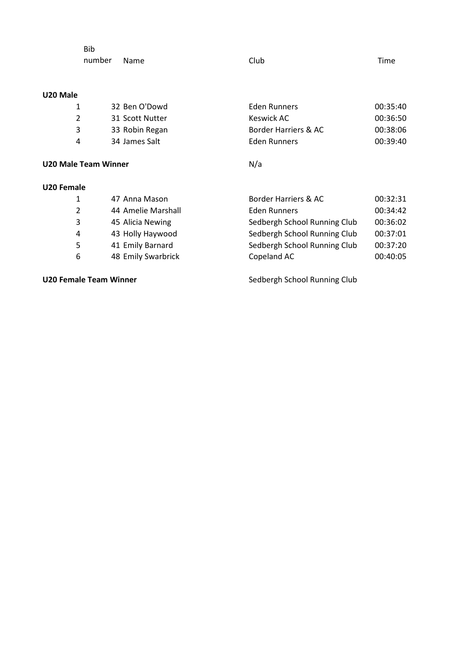| Bib                  |                       |                      |          |
|----------------------|-----------------------|----------------------|----------|
|                      | number<br><b>Name</b> | Club                 | Time     |
|                      |                       |                      |          |
| U20 Male             |                       |                      |          |
| 1                    | 32 Ben O'Dowd         | <b>Eden Runners</b>  | 00:35:40 |
| $\overline{2}$       | 31 Scott Nutter       | Keswick AC           | 00:36:50 |
| 3                    | 33 Robin Regan        | Border Harriers & AC | 00:38:06 |
| 4                    | 34 James Salt         | <b>Eden Runners</b>  | 00:39:40 |
| U20 Male Team Winner |                       | N/a                  |          |

| U20 Female |                    |                              |          |
|------------|--------------------|------------------------------|----------|
| 1          | 47 Anna Mason      | Border Harriers & AC         | 00:32:31 |
| 2          | 44 Amelie Marshall | <b>Eden Runners</b>          | 00:34:42 |
| 3          | 45 Alicia Newing   | Sedbergh School Running Club | 00:36:02 |
| 4          | 43 Holly Haywood   | Sedbergh School Running Club | 00:37:01 |
| 5          | 41 Emily Barnard   | Sedbergh School Running Club | 00:37:20 |
| 6          | 48 Emily Swarbrick | Copeland AC                  | 00:40:05 |
|            |                    |                              |          |

**U20 Female Team Winner Sedbergh School Running Club**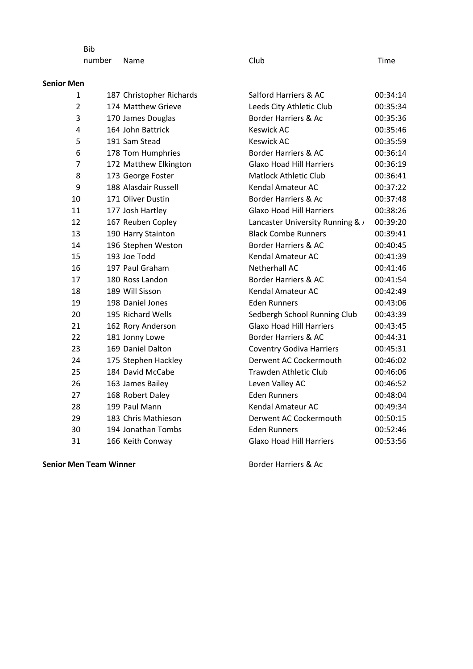Bib number Name Club Club Club Time

| <b>Senior Men</b> |                          |                                  |          |
|-------------------|--------------------------|----------------------------------|----------|
| $\mathbf{1}$      | 187 Christopher Richards | Salford Harriers & AC            | 00:34:14 |
| $\overline{2}$    | 174 Matthew Grieve       | Leeds City Athletic Club         | 00:35:34 |
| 3                 | 170 James Douglas        | <b>Border Harriers &amp; Ac</b>  | 00:35:36 |
| 4                 | 164 John Battrick        | <b>Keswick AC</b>                | 00:35:46 |
| 5                 | 191 Sam Stead            | <b>Keswick AC</b>                | 00:35:59 |
| 6                 | 178 Tom Humphries        | Border Harriers & AC             | 00:36:14 |
| $\overline{7}$    | 172 Matthew Elkington    | <b>Glaxo Hoad Hill Harriers</b>  | 00:36:19 |
| 8                 | 173 George Foster        | <b>Matlock Athletic Club</b>     | 00:36:41 |
| 9                 | 188 Alasdair Russell     | Kendal Amateur AC                | 00:37:22 |
| 10                | 171 Oliver Dustin        | Border Harriers & Ac             | 00:37:48 |
| 11                | 177 Josh Hartley         | <b>Glaxo Hoad Hill Harriers</b>  | 00:38:26 |
| 12                | 167 Reuben Copley        | Lancaster University Running & / | 00:39:20 |
| 13                | 190 Harry Stainton       | <b>Black Combe Runners</b>       | 00:39:41 |
| 14                | 196 Stephen Weston       | Border Harriers & AC             | 00:40:45 |
| 15                | 193 Joe Todd             | Kendal Amateur AC                | 00:41:39 |
| 16                | 197 Paul Graham          | Netherhall AC                    | 00:41:46 |
| 17                | 180 Ross Landon          | Border Harriers & AC             | 00:41:54 |
| 18                | 189 Will Sisson          | Kendal Amateur AC                | 00:42:49 |
| 19                | 198 Daniel Jones         | <b>Eden Runners</b>              | 00:43:06 |
| 20                | 195 Richard Wells        | Sedbergh School Running Club     | 00:43:39 |
| 21                | 162 Rory Anderson        | <b>Glaxo Hoad Hill Harriers</b>  | 00:43:45 |
| 22                | 181 Jonny Lowe           | Border Harriers & AC             | 00:44:31 |
| 23                | 169 Daniel Dalton        | <b>Coventry Godiva Harriers</b>  | 00:45:31 |
| 24                | 175 Stephen Hackley      | Derwent AC Cockermouth           | 00:46:02 |
| 25                | 184 David McCabe         | <b>Trawden Athletic Club</b>     | 00:46:06 |
| 26                | 163 James Bailey         | Leven Valley AC                  | 00:46:52 |
| 27                | 168 Robert Daley         | <b>Eden Runners</b>              | 00:48:04 |
| 28                | 199 Paul Mann            | Kendal Amateur AC                | 00:49:34 |
| 29                | 183 Chris Mathieson      | Derwent AC Cockermouth           | 00:50:15 |
| 30                | 194 Jonathan Tombs       | <b>Eden Runners</b>              | 00:52:46 |
| 31                | 166 Keith Conway         | <b>Glaxo Hoad Hill Harriers</b>  | 00:53:56 |

**Senior Men Team Winner Border Harriers & Acc**